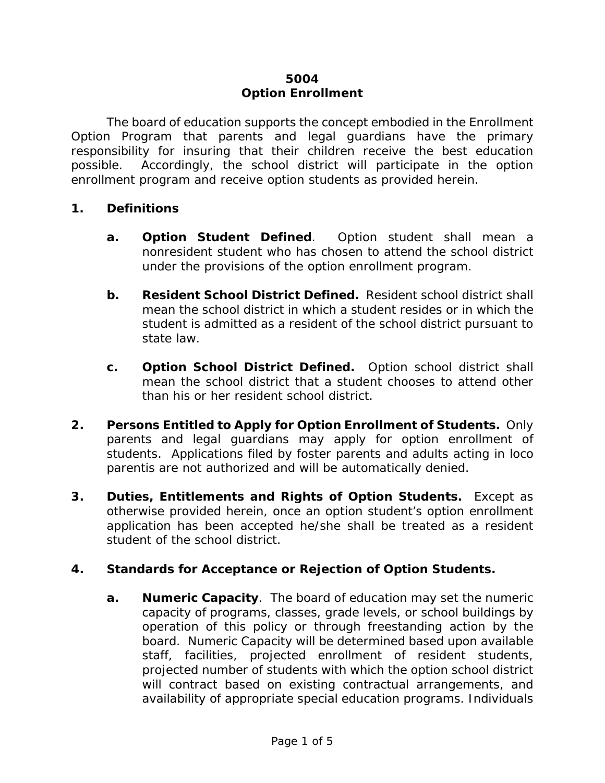# **5004 Option Enrollment**

The board of education supports the concept embodied in the Enrollment Option Program that parents and legal guardians have the primary responsibility for insuring that their children receive the best education possible. Accordingly, the school district will participate in the option enrollment program and receive option students as provided herein.

## **1. Definitions**

- **a. Option Student Defined**. Option student shall mean a nonresident student who has chosen to attend the school district under the provisions of the option enrollment program.
- **b. Resident School District Defined.** Resident school district shall mean the school district in which a student resides or in which the student is admitted as a resident of the school district pursuant to state law.
- **c. Option School District Defined.** Option school district shall mean the school district that a student chooses to attend other than his or her resident school district.
- **2. Persons Entitled to Apply for Option Enrollment of Students.** Only parents and legal guardians may apply for option enrollment of students. Applications filed by foster parents and adults acting *in loco parentis* are not authorized and will be automatically denied.
- **3. Duties, Entitlements and Rights of Option Students.** Except as otherwise provided herein, once an option student's option enrollment application has been accepted he/she shall be treated as a resident student of the school district.

## **4. Standards for Acceptance or Rejection of Option Students.**

**a. Numeric Capacity**. The board of education may set the numeric capacity of programs, classes, grade levels, or school buildings by operation of this policy or through freestanding action by the board. Numeric Capacity will be determined based upon available staff, facilities, projected enrollment of resident students, projected number of students with which the option school district will contract based on existing contractual arrangements, and availability of appropriate special education programs. Individuals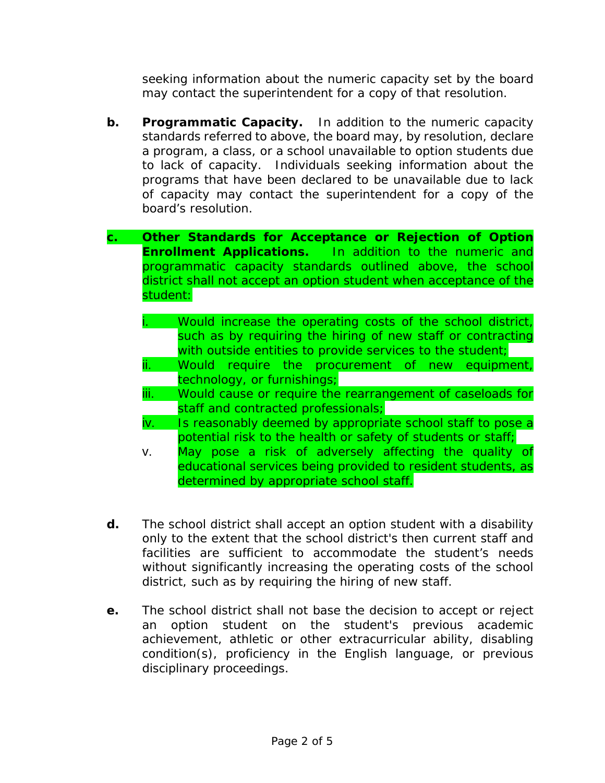seeking information about the numeric capacity set by the board may contact the superintendent for a copy of that resolution.

- **b. Programmatic Capacity.** In addition to the numeric capacity standards referred to above, the board may, by resolution, declare a program, a class, or a school unavailable to option students due to lack of capacity. Individuals seeking information about the programs that have been declared to be unavailable due to lack of capacity may contact the superintendent for a copy of the board's resolution.
- **c. Other Standards for Acceptance or Rejection of Option Enrollment Applications.** In addition to the numeric and programmatic capacity standards outlined above, the school district shall not accept an option student when acceptance of the student:
	- Would increase the operating costs of the school district, such as by requiring the hiring of new staff or contracting with outside entities to provide services to the student;
	- ii. Would require the procurement of new equipment, technology, or furnishings;
	- iii. Would cause or require the rearrangement of caseloads for staff and contracted professionals;
	- iv. Is reasonably deemed by appropriate school staff to pose a potential risk to the health or safety of students or staff;
	- v. May pose a risk of adversely affecting the quality of educational services being provided to resident students, as determined by appropriate school staff.
- **d.** The school district shall accept an option student with a disability only to the extent that the school district's then current staff and facilities are sufficient to accommodate the student's needs without significantly increasing the operating costs of the school district, such as by requiring the hiring of new staff.
- **e.** The school district shall not base the decision to accept or reject an option student on the student's previous academic achievement, athletic or other extracurricular ability, disabling condition(s), proficiency in the English language, or previous disciplinary proceedings.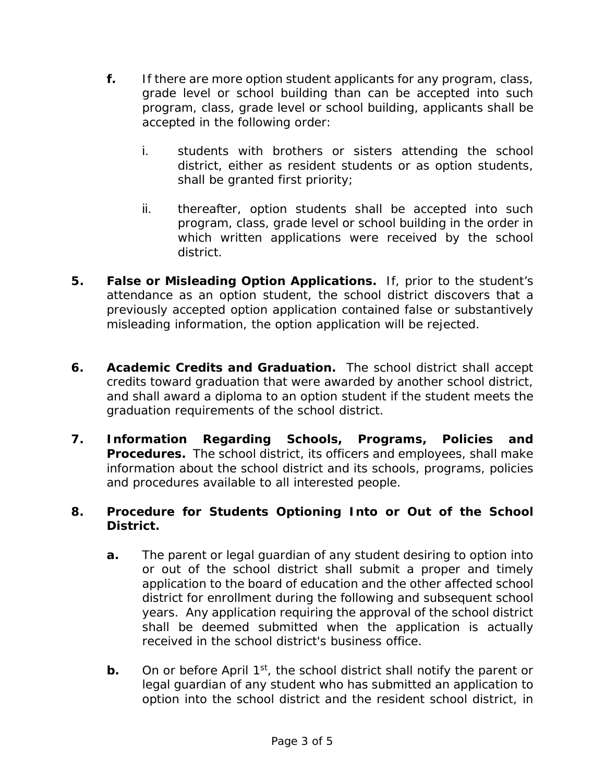- **f.** If there are more option student applicants for any program, class, grade level or school building than can be accepted into such program, class, grade level or school building, applicants shall be accepted in the following order:
	- i. students with brothers or sisters attending the school district, either as resident students or as option students, shall be granted first priority;
	- ii. thereafter, option students shall be accepted into such program, class, grade level or school building in the order in which written applications were received by the school district.
- **5. False or Misleading Option Applications.** If, prior to the student's attendance as an option student, the school district discovers that a previously accepted option application contained false or substantively misleading information, the option application will be rejected.
- **6. Academic Credits and Graduation.** The school district shall accept credits toward graduation that were awarded by another school district, and shall award a diploma to an option student if the student meets the graduation requirements of the school district.
- **7. Information Regarding Schools, Programs, Policies and Procedures.** The school district, its officers and employees, shall make information about the school district and its schools, programs, policies and procedures available to all interested people.

# **8. Procedure for Students Optioning Into or Out of the School District.**

- **a.** The parent or legal guardian of any student desiring to option into or out of the school district shall submit a proper and timely application to the board of education and the other affected school district for enrollment during the following and subsequent school years. Any application requiring the approval of the school district shall be deemed submitted when the application is actually received in the school district's business office.
- **b.** On or before April 1<sup>st</sup>, the school district shall notify the parent or legal guardian of any student who has submitted an application to option into the school district and the resident school district, in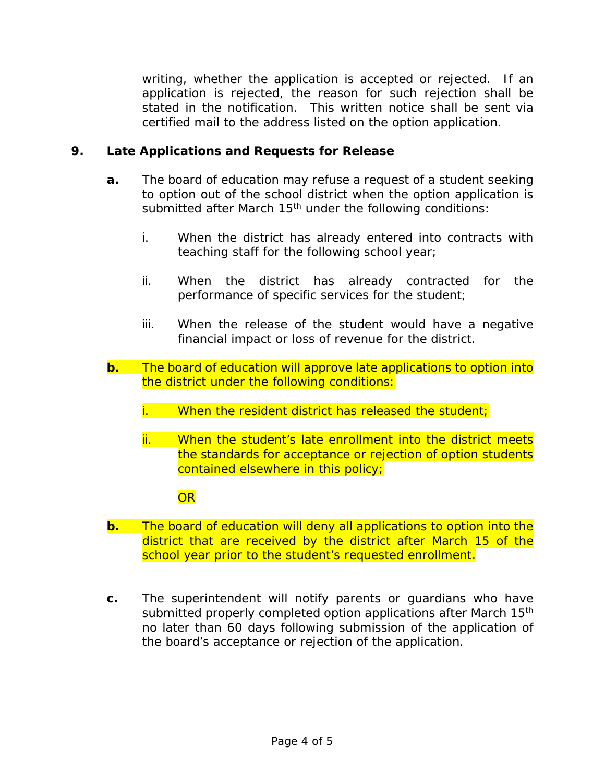writing, whether the application is accepted or rejected. If an application is rejected, the reason for such rejection shall be stated in the notification. This written notice shall be sent via certified mail to the address listed on the option application.

## **9. Late Applications and Requests for Release**

- **a.** The board of education may refuse a request of a student seeking to option out of the school district when the option application is submitted after March 15<sup>th</sup> under the following conditions:
	- i. When the district has already entered into contracts with teaching staff for the following school year;
	- ii. When the district has already contracted for the performance of specific services for the student;
	- iii. When the release of the student would have a negative financial impact or loss of revenue for the district.
- **b.** The board of education will approve late applications to option into the district under the following conditions:
	- i. When the resident district has released the student;
	- ii. When the student's late enrollment into the district meets the standards for acceptance or rejection of option students contained elsewhere in this policy;

## OR

- **b.** The board of education will deny all applications to option into the district that are received by the district after March 15 of the school year prior to the student's requested enrollment.
- **c.** The superintendent will notify parents or guardians who have submitted properly completed option applications after March 15<sup>th</sup> no later than 60 days following submission of the application of the board's acceptance or rejection of the application.